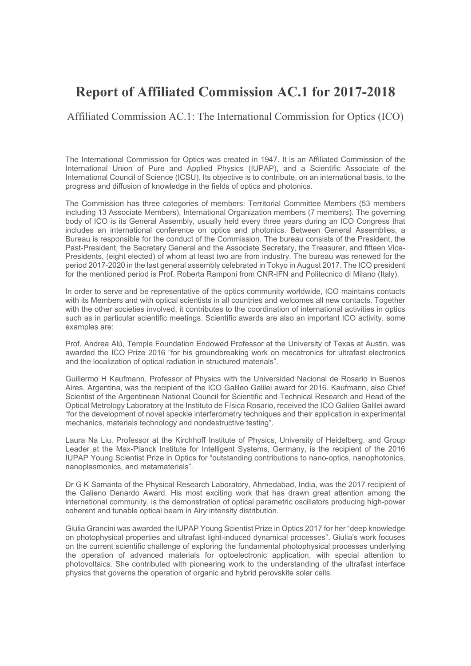# **Report of Affiliated Commission AC.1 for 2017-2018**

Affiliated Commission AC.1: The International Commission for Optics (ICO)

The International Commission for Optics was created in 1947. It is an Affiliated Commission of the International Union of Pure and Applied Physics (IUPAP), and a Scientific Associate of the International Council of Science (ICSU). Its objective is to contribute, on an international basis, to the progress and diffusion of knowledge in the fields of optics and photonics.

The Commission has three categories of members: Territorial Committee Members (53 members including 13 Associate Members), International Organization members (7 members). The governing body of ICO is its General Assembly, usually held every three years during an ICO Congress that includes an international conference on optics and photonics. Between General Assemblies, a Bureau is responsible for the conduct of the Commission. The bureau consists of the President, the Past-President, the Secretary General and the Associate Secretary, the Treasurer, and fifteen Vice-Presidents, (eight elected) of whom at least two are from industry. The bureau was renewed for the period 2017-2020 in the last general assembly celebrated in Tokyo in August 2017. The ICO president for the mentioned period is Prof. Roberta Ramponi from CNR-IFN and Politecnico di Milano (Italy).

In order to serve and be representative of the optics community worldwide, ICO maintains contacts with its Members and with optical scientists in all countries and welcomes all new contacts. Together with the other societies involved, it contributes to the coordination of international activities in optics such as in particular scientific meetings. Scientific awards are also an important ICO activity, some examples are:

Prof. Andrea Alù, Temple Foundation Endowed Professor at the University of Texas at Austin, was awarded the ICO Prize 2016 "for his groundbreaking work on mecatronics for ultrafast electronics and the localization of optical radiation in structured materials".

Guillermo H Kaufmann, Professor of Physics with the Universidad Nacional de Rosario in Buenos Aires, Argentina, was the recipient of the ICO Galileo Galilei award for 2016. Kaufmann, also Chief Scientist of the Argentinean National Council for Scientific and Technical Research and Head of the Optical Metrology Laboratory at the Instituto de Física Rosario, received the ICO Galileo Galilei award "for the development of novel speckle interferometry techniques and their application in experimental mechanics, materials technology and nondestructive testing".

Laura Na Liu, Professor at the Kirchhoff Institute of Physics, University of Heidelberg, and Group Leader at the Max-Planck Institute for Intelligent Systems, Germany, is the recipient of the 2016 IUPAP Young Scientist Prize in Optics for "outstanding contributions to nano-optics, nanophotonics, nanoplasmonics, and metamaterials".

Dr G K Samanta of the Physical Research Laboratory, Ahmedabad, India, was the 2017 recipient of the Galieno Denardo Award. His most exciting work that has drawn great attention among the international community, is the demonstration of optical parametric oscillators producing high-power coherent and tunable optical beam in Airy intensity distribution.

Giulia Grancini was awarded the IUPAP Young Scientist Prize in Optics 2017 for her "deep knowledge on photophysical properties and ultrafast light-induced dynamical processes". Giulia's work focuses on the current scientific challenge of exploring the fundamental photophysical processes underlying the operation of advanced materials for optoelectronic application, with special attention to photovoltaics. She contributed with pioneering work to the understanding of the ultrafast interface physics that governs the operation of organic and hybrid perovskite solar cells.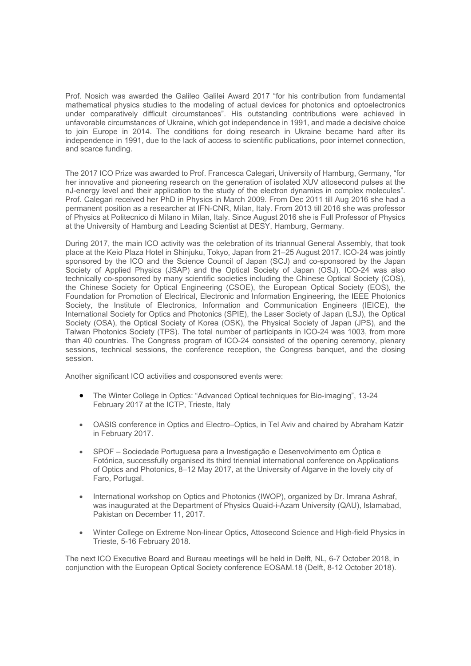Prof. Nosich was awarded the Galileo Galilei Award 2017 "for his contribution from fundamental mathematical physics studies to the modeling of actual devices for photonics and optoelectronics under comparatively difficult circumstances". His outstanding contributions were achieved in unfavorable circumstances of Ukraine, which got independence in 1991, and made a decisive choice to join Europe in 2014. The conditions for doing research in Ukraine became hard after its independence in 1991, due to the lack of access to scientific publications, poor internet connection, and scarce funding.

The 2017 ICO Prize was awarded to Prof. Francesca Calegari, University of Hamburg, Germany, "for her innovative and pioneering research on the generation of isolated XUV attosecond pulses at the nJ-energy level and their application to the study of the electron dynamics in complex molecules". Prof. Calegari received her PhD in Physics in March 2009. From Dec 2011 till Aug 2016 she had a permanent position as a researcher at IFN-CNR, Milan, Italy. From 2013 till 2016 she was professor of Physics at Politecnico di Milano in Milan, Italy. Since August 2016 she is Full Professor of Physics at the University of Hamburg and Leading Scientist at DESY, Hamburg, Germany.

During 2017, the main ICO activity was the celebration of its triannual General Assembly, that took place at the Keio Plaza Hotel in Shinjuku, Tokyo, Japan from 21–25 August 2017. ICO-24 was jointly sponsored by the ICO and the Science Council of Japan (SCJ) and co-sponsored by the Japan Society of Applied Physics (JSAP) and the Optical Society of Japan (OSJ). ICO-24 was also technically co-sponsored by many scientific societies including the Chinese Optical Society (COS), the Chinese Society for Optical Engineering (CSOE), the European Optical Society (EOS), the Foundation for Promotion of Electrical, Electronic and Information Engineering, the IEEE Photonics Society, the Institute of Electronics, Information and Communication Engineers (IEICE), the International Society for Optics and Photonics (SPIE), the Laser Society of Japan (LSJ), the Optical Society (OSA), the Optical Society of Korea (OSK), the Physical Society of Japan (JPS), and the Taiwan Photonics Society (TPS). The total number of participants in ICO-24 was 1003, from more than 40 countries. The Congress program of ICO-24 consisted of the opening ceremony, plenary sessions, technical sessions, the conference reception, the Congress banquet, and the closing session.

Another significant ICO activities and cosponsored events were:

- The Winter College in Optics: "Advanced Optical techniques for Bio-imaging", 13-24 February 2017 at the ICTP, Trieste, Italy
- OASIS conference in Optics and Electro–Optics, in Tel Aviv and chaired by Abraham Katzir in February 2017.
- SPOF Sociedade Portuguesa para a Investigação e Desenvolvimento em Óptica e Fotónica, successfully organised its third triennial international conference on Applications of Optics and Photonics, 8–12 May 2017, at the University of Algarve in the lovely city of Faro, Portugal.
- International workshop on Optics and Photonics (IWOP), organized by Dr. Imrana Ashraf, was inaugurated at the Department of Physics Quaid-i-Azam University (QAU), Islamabad, Pakistan on December 11, 2017.
- Winter College on Extreme Non-linear Optics, Attosecond Science and High-field Physics in Trieste, 5-16 February 2018.

The next ICO Executive Board and Bureau meetings will be held in Delft, NL, 6-7 October 2018, in conjunction with the European Optical Society conference EOSAM.18 (Delft, 8-12 October 2018).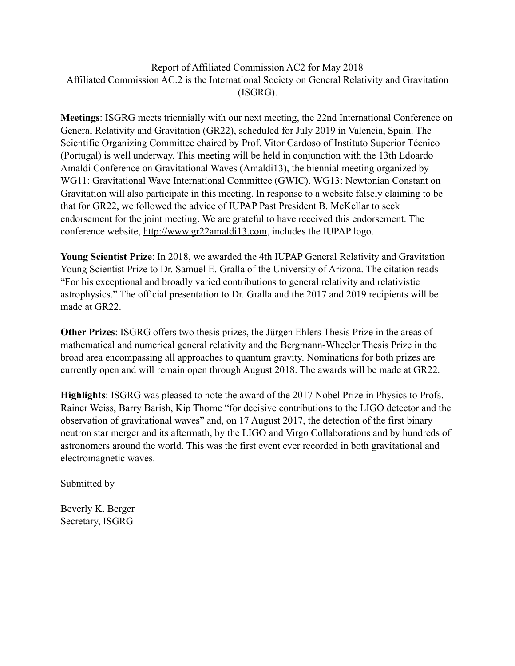#### Report of Affiliated Commission AC2 for May 2018 Affiliated Commission AC.2 is the International Society on General Relativity and Gravitation (ISGRG).

**Meetings**: ISGRG meets triennially with our next meeting, the 22nd International Conference on General Relativity and Gravitation (GR22), scheduled for July 2019 in Valencia, Spain. The Scientific Organizing Committee chaired by Prof. Vitor Cardoso of Instituto Superior Técnico (Portugal) is well underway. This meeting will be held in conjunction with the 13th Edoardo Amaldi Conference on Gravitational Waves (Amaldi13), the biennial meeting organized by WG11: Gravitational Wave International Committee (GWIC). WG13: Newtonian Constant on Gravitation will also participate in this meeting. In response to a website falsely claiming to be that for GR22, we followed the advice of IUPAP Past President B. McKellar to seek endorsement for the joint meeting. We are grateful to have received this endorsement. The conference website,<http://www.gr22amaldi13.com>, includes the IUPAP logo.

**Young Scientist Prize**: In 2018, we awarded the 4th IUPAP General Relativity and Gravitation Young Scientist Prize to Dr. Samuel E. Gralla of the University of Arizona. The citation reads "For his exceptional and broadly varied contributions to general relativity and relativistic astrophysics." The official presentation to Dr. Gralla and the 2017 and 2019 recipients will be made at GR22.

**Other Prizes**: ISGRG offers two thesis prizes, the Jürgen Ehlers Thesis Prize in the areas of mathematical and numerical general relativity and the Bergmann-Wheeler Thesis Prize in the broad area encompassing all approaches to quantum gravity. Nominations for both prizes are currently open and will remain open through August 2018. The awards will be made at GR22.

**Highlights**: ISGRG was pleased to note the award of the 2017 Nobel Prize in Physics to Profs. Rainer Weiss, Barry Barish, Kip Thorne "for decisive contributions to the LIGO detector and the observation of gravitational waves" and, on 17 August 2017, the detection of the first binary neutron star merger and its aftermath, by the LIGO and Virgo Collaborations and by hundreds of astronomers around the world. This was the first event ever recorded in both gravitational and electromagnetic waves.

Submitted by

Beverly K. Berger Secretary, ISGRG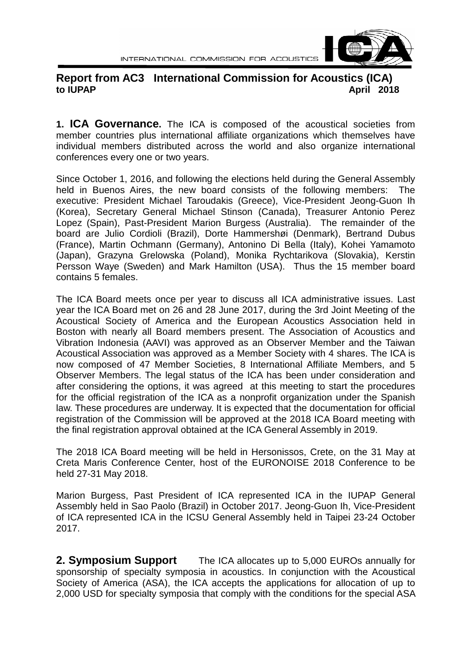

## **Report from AC3 International Commission for Acoustics (ICA) to IUPAP April 2018**

**1. ICA Governance.** The ICA is composed of the acoustical societies from member countries plus international affiliate organizations which themselves have individual members distributed across the world and also organize international conferences every one or two years.

Since October 1, 2016, and following the elections held during the General Assembly held in Buenos Aires, the new board consists of the following members: The executive: President Michael Taroudakis (Greece), Vice-President Jeong-Guon Ih (Korea), Secretary General Michael Stinson (Canada), Treasurer Antonio Perez Lopez (Spain), Past-President Marion Burgess (Australia). The remainder of the board are Julio Cordioli (Brazil), Dorte Hammershøi (Denmark), Bertrand Dubus (France), Martin Ochmann (Germany), Antonino Di Bella (Italy), Kohei Yamamoto (Japan), Grazyna Grelowska (Poland), Monika Rychtarikova (Slovakia), Kerstin Persson Waye (Sweden) and Mark Hamilton (USA). Thus the 15 member board contains 5 females.

The ICA Board meets once per year to discuss all ICA administrative issues. Last year the ICA Board met on 26 and 28 June 2017, during the 3rd Joint Meeting of the Acoustical Society of America and the European Acoustics Association held in Boston with nearly all Board members present. The Association of Acoustics and Vibration Indonesia (AAVI) was approved as an Observer Member and the Taiwan Acoustical Association was approved as a Member Society with 4 shares. The ICA is now composed of 47 Member Societies, 8 International Affiliate Members, and 5 Observer Members. The legal status of the ICA has been under consideration and after considering the options, it was agreed at this meeting to start the procedures for the official registration of the ICA as a nonprofit organization under the Spanish law. These procedures are underway. It is expected that the documentation for official registration of the Commission will be approved at the 2018 ICA Board meeting with the final registration approval obtained at the ICA General Assembly in 2019.

The 2018 ICA Board meeting will be held in Hersonissos, Crete, on the 31 May at Creta Maris Conference Center, host of the EURONOISE 2018 Conference to be held 27-31 May 2018.

Marion Burgess, Past President of ICA represented ICA in the IUPAP General Assembly held in Sao Paolo (Brazil) in October 2017. Jeong-Guon Ih, Vice-President of ICA represented ICA in the ICSU General Assembly held in Taipei 23-24 October 2017.

**2. Symposium Support** The ICA allocates up to 5,000 EUROs annually for sponsorship of specialty symposia in acoustics. In conjunction with the Acoustical Society of America (ASA), the ICA accepts the applications for allocation of up to 2,000 USD for specialty symposia that comply with the conditions for the special ASA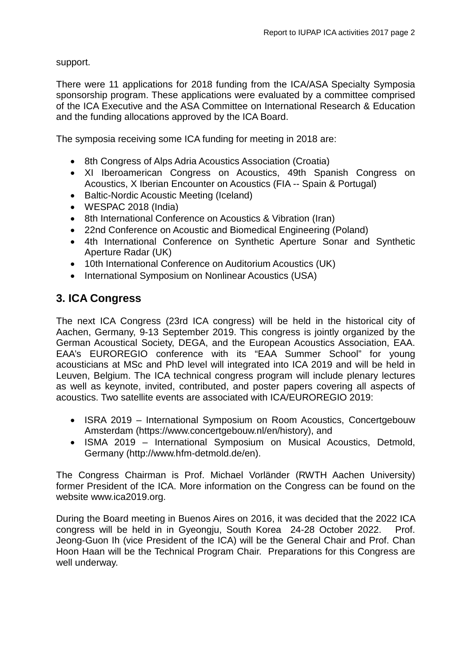support.

There were 11 applications for 2018 funding from the ICA/ASA Specialty Symposia sponsorship program. These applications were evaluated by a committee comprised of the ICA Executive and the ASA Committee on International Research & Education and the funding allocations approved by the ICA Board.

The symposia receiving some ICA funding for meeting in 2018 are:

- 8th Congress of Alps Adria Acoustics Association (Croatia)
- XI Iberoamerican Congress on Acoustics, 49th Spanish Congress on Acoustics, X Iberian Encounter on Acoustics (FIA -- Spain & Portugal)
- Baltic-Nordic Acoustic Meeting (Iceland)
- WESPAC 2018 (India)
- 8th International Conference on Acoustics & Vibration (Iran)
- 22nd Conference on Acoustic and Biomedical Engineering (Poland)
- 4th International Conference on Synthetic Aperture Sonar and Synthetic Aperture Radar (UK)
- 10th International Conference on Auditorium Acoustics (UK)
- International Symposium on Nonlinear Acoustics (USA)

## **3. ICA Congress**

The next ICA Congress (23rd ICA congress) will be held in the historical city of Aachen, Germany, 9-13 September 2019. This congress is jointly organized by the German Acoustical Society, DEGA, and the European Acoustics Association, EAA. EAA's EUROREGIO conference with its "EAA Summer School" for young acousticians at MSc and PhD level will integrated into ICA 2019 and will be held in Leuven, Belgium. The ICA technical congress program will include plenary lectures as well as keynote, invited, contributed, and poster papers covering all aspects of acoustics. Two satellite events are associated with ICA/EUROREGIO 2019:

- ISRA 2019 International Symposium on Room Acoustics, Concertgebouw Amsterdam (https://www.concertgebouw.nl/en/history), and
- ISMA 2019 International Symposium on Musical Acoustics, Detmold, Germany (http://www.hfm-detmold.de/en).

The Congress Chairman is Prof. Michael Vorländer (RWTH Aachen University) former President of the ICA. More information on the Congress can be found on the website www.ica2019.org.

During the Board meeting in Buenos Aires on 2016, it was decided that the 2022 ICA congress will be held in in Gyeongju, South Korea 24-28 October 2022. Prof. Jeong-Guon Ih (vice President of the ICA) will be the General Chair and Prof. Chan Hoon Haan will be the Technical Program Chair. Preparations for this Congress are well underway.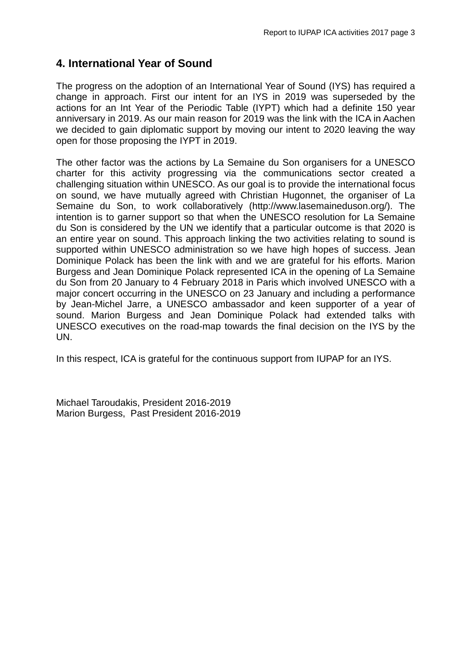## **4. International Year of Sound**

The progress on the adoption of an International Year of Sound (IYS) has required a change in approach. First our intent for an IYS in 2019 was superseded by the actions for an Int Year of the Periodic Table (IYPT) which had a definite 150 year anniversary in 2019. As our main reason for 2019 was the link with the ICA in Aachen we decided to gain diplomatic support by moving our intent to 2020 leaving the way open for those proposing the IYPT in 2019.

The other factor was the actions by La Semaine du Son organisers for a UNESCO charter for this activity progressing via the communications sector created a challenging situation within UNESCO. As our goal is to provide the international focus on sound, we have mutually agreed with Christian Hugonnet, the organiser of La Semaine du Son, to work collaboratively (http://www.lasemaineduson.org/). The intention is to garner support so that when the UNESCO resolution for La Semaine du Son is considered by the UN we identify that a particular outcome is that 2020 is an entire year on sound. This approach linking the two activities relating to sound is supported within UNESCO administration so we have high hopes of success. Jean Dominique Polack has been the link with and we are grateful for his efforts. Marion Burgess and Jean Dominique Polack represented ICA in the opening of La Semaine du Son from 20 January to 4 February 2018 in Paris which involved UNESCO with a major concert occurring in the UNESCO on 23 January and including a performance by Jean-Michel Jarre, a UNESCO ambassador and keen supporter of a year of sound. Marion Burgess and Jean Dominique Polack had extended talks with UNESCO executives on the road-map towards the final decision on the IYS by the UN.

In this respect, ICA is grateful for the continuous support from IUPAP for an IYS.

Michael Taroudakis, President 2016-2019 Marion Burgess, Past President 2016-2019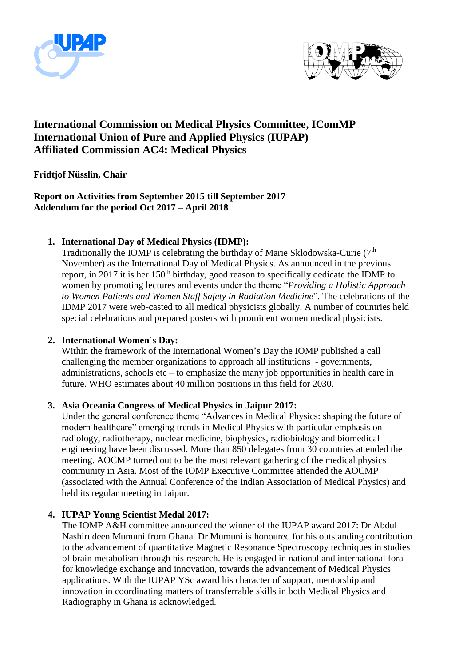



## **International Commission on Medical Physics Committee, IComMP International Union of Pure and Applied Physics (IUPAP) Affiliated Commission AC4: Medical Physics**

#### **Fridtjof Nüsslin, Chair**

#### **Report on Activities from September 2015 till September 2017 Addendum for the period Oct 2017 – April 2018**

#### **1. International Day of Medical Physics (IDMP):**

Traditionally the IOMP is celebrating the birthday of Marie Sklodowska-Curie  $(7<sup>th</sup>$ November) as the International Day of Medical Physics. As announced in the previous report, in 2017 it is her 150<sup>th</sup> birthday, good reason to specifically dedicate the IDMP to women by promoting lectures and events under the theme "*Providing a Holistic Approach to Women Patients and Women Staff Safety in Radiation Medicine*". The celebrations of the IDMP 2017 were web-casted to all medical physicists globally. A number of countries held special celebrations and prepared posters with prominent women medical physicists.

#### **2. International Women´s Day:**

Within the framework of the International Women's Day the IOMP published a call challenging the member organizations to approach all institutions - governments, administrations, schools etc – to emphasize the many job opportunities in health care in future. WHO estimates about 40 million positions in this field for 2030.

#### **3. Asia Oceania Congress of Medical Physics in Jaipur 2017:**

Under the general conference theme "Advances in Medical Physics: shaping the future of modern healthcare" emerging trends in Medical Physics with particular emphasis on radiology, radiotherapy, nuclear medicine, biophysics, radiobiology and biomedical engineering have been discussed. More than 850 delegates from 30 countries attended the meeting. AOCMP turned out to be the most relevant gathering of the medical physics community in Asia. Most of the IOMP Executive Committee attended the AOCMP (associated with the Annual Conference of the Indian Association of Medical Physics) and held its regular meeting in Jaipur.

#### **4. IUPAP Young Scientist Medal 2017:**

The IOMP A&H committee announced the winner of the IUPAP award 2017: Dr Abdul Nashirudeen Mumuni from Ghana. Dr.Mumuni is honoured for his outstanding contribution to the advancement of quantitative Magnetic Resonance Spectroscopy techniques in studies of brain metabolism through his research. He is engaged in national and international fora for knowledge exchange and innovation, towards the advancement of Medical Physics applications. With the IUPAP YSc award his character of support, mentorship and innovation in coordinating matters of transferrable skills in both Medical Physics and Radiography in Ghana is acknowledged.